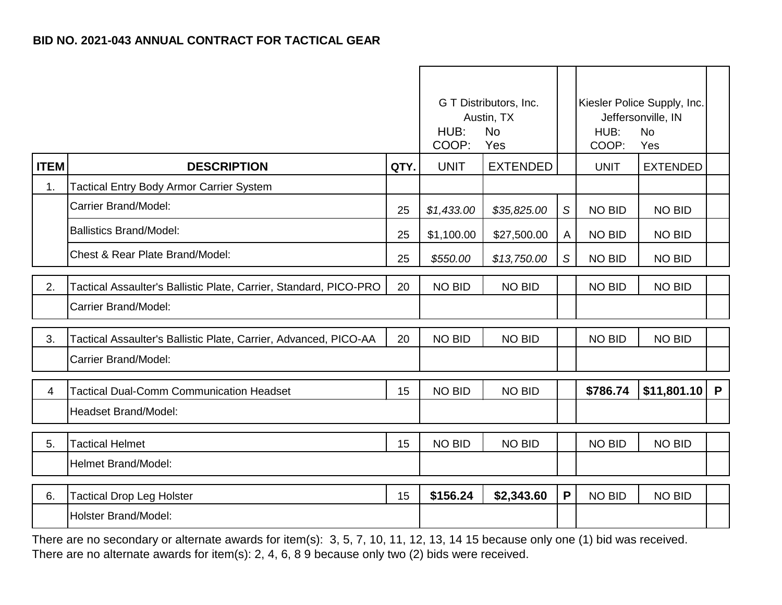|             |                                                                   |      | G T Distributors, Inc.<br>Austin, TX<br>HUB:<br><b>No</b><br>COOP:<br>Yes |                 |                | Kiesler Police Supply, Inc.<br>Jeffersonville, IN<br>HUB:<br><b>No</b><br>COOP:<br>Yes |                 |   |
|-------------|-------------------------------------------------------------------|------|---------------------------------------------------------------------------|-----------------|----------------|----------------------------------------------------------------------------------------|-----------------|---|
| <b>ITEM</b> | <b>DESCRIPTION</b>                                                | QTY. | <b>UNIT</b>                                                               | <b>EXTENDED</b> |                | <b>UNIT</b>                                                                            | <b>EXTENDED</b> |   |
| 1.          | Tactical Entry Body Armor Carrier System                          |      |                                                                           |                 |                |                                                                                        |                 |   |
|             | Carrier Brand/Model:                                              | 25   | \$1,433.00                                                                | \$35,825.00     | $\mathcal{S}$  | <b>NO BID</b>                                                                          | <b>NO BID</b>   |   |
|             | <b>Ballistics Brand/Model:</b>                                    | 25   | \$1,100.00                                                                | \$27,500.00     | $\overline{A}$ | <b>NO BID</b>                                                                          | NO BID          |   |
|             | Chest & Rear Plate Brand/Model:                                   | 25   | \$550.00                                                                  | \$13,750.00     | S              | <b>NO BID</b>                                                                          | <b>NO BID</b>   |   |
| 2.          | Tactical Assaulter's Ballistic Plate, Carrier, Standard, PICO-PRO | 20   | <b>NO BID</b>                                                             | <b>NO BID</b>   |                | <b>NO BID</b>                                                                          | <b>NO BID</b>   |   |
|             | Carrier Brand/Model:                                              |      |                                                                           |                 |                |                                                                                        |                 |   |
| 3.          | Tactical Assaulter's Ballistic Plate, Carrier, Advanced, PICO-AA  | 20   | <b>NO BID</b>                                                             | <b>NO BID</b>   |                | <b>NO BID</b>                                                                          | <b>NO BID</b>   |   |
|             | Carrier Brand/Model:                                              |      |                                                                           |                 |                |                                                                                        |                 |   |
| 4           | <b>Tactical Dual-Comm Communication Headset</b>                   | 15   | <b>NO BID</b>                                                             | <b>NO BID</b>   |                | \$786.74                                                                               | \$11,801.10     | P |
|             | Headset Brand/Model:                                              |      |                                                                           |                 |                |                                                                                        |                 |   |
| 5.          | <b>Tactical Helmet</b>                                            | 15   | <b>NO BID</b>                                                             | <b>NO BID</b>   |                | <b>NO BID</b>                                                                          | <b>NO BID</b>   |   |
|             | Helmet Brand/Model:                                               |      |                                                                           |                 |                |                                                                                        |                 |   |
| 6.          | <b>Tactical Drop Leg Holster</b>                                  | 15   | \$156.24                                                                  | \$2,343.60      | P              | <b>NO BID</b>                                                                          | <b>NO BID</b>   |   |
|             | Holster Brand/Model:                                              |      |                                                                           |                 |                |                                                                                        |                 |   |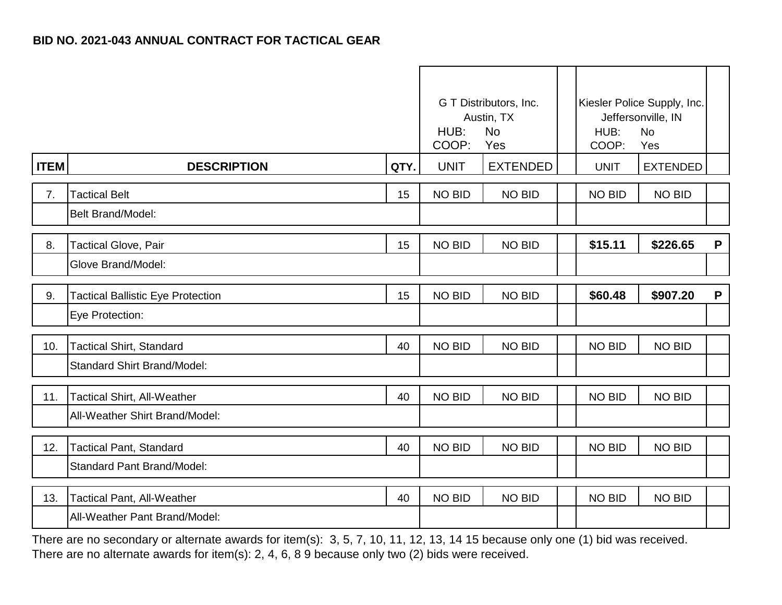|             |                                          |      | G T Distributors, Inc.<br>Austin, TX<br><b>No</b><br>HUB:<br>COOP:<br>Yes |                 | HUB:<br>COOP: | Kiesler Police Supply, Inc.<br>Jeffersonville, IN<br><b>No</b><br>Yes |              |
|-------------|------------------------------------------|------|---------------------------------------------------------------------------|-----------------|---------------|-----------------------------------------------------------------------|--------------|
| <b>ITEM</b> | <b>DESCRIPTION</b>                       | QTY. | <b>UNIT</b>                                                               | <b>EXTENDED</b> | <b>UNIT</b>   | <b>EXTENDED</b>                                                       |              |
| 7.          | <b>Tactical Belt</b>                     | 15   | <b>NO BID</b>                                                             | <b>NO BID</b>   | <b>NO BID</b> | <b>NO BID</b>                                                         |              |
|             | <b>Belt Brand/Model:</b>                 |      |                                                                           |                 |               |                                                                       |              |
| 8.          | <b>Tactical Glove, Pair</b>              | 15   | <b>NO BID</b>                                                             | <b>NO BID</b>   | \$15.11       | \$226.65                                                              | P            |
|             | Glove Brand/Model:                       |      |                                                                           |                 |               |                                                                       |              |
| 9.          | <b>Tactical Ballistic Eye Protection</b> | 15   | <b>NO BID</b>                                                             | <b>NO BID</b>   | \$60.48       | \$907.20                                                              | $\mathsf{P}$ |
|             | Eye Protection:                          |      |                                                                           |                 |               |                                                                       |              |
| 10.         | <b>Tactical Shirt, Standard</b>          | 40   | <b>NO BID</b>                                                             | <b>NO BID</b>   | <b>NO BID</b> | <b>NO BID</b>                                                         |              |
|             | <b>Standard Shirt Brand/Model:</b>       |      |                                                                           |                 |               |                                                                       |              |
| 11.         | <b>Tactical Shirt, All-Weather</b>       | 40   | <b>NO BID</b>                                                             | <b>NO BID</b>   | <b>NO BID</b> | <b>NO BID</b>                                                         |              |
|             | All-Weather Shirt Brand/Model:           |      |                                                                           |                 |               |                                                                       |              |
| 12.         | <b>Tactical Pant, Standard</b>           | 40   | <b>NO BID</b>                                                             | <b>NO BID</b>   | NO BID        | <b>NO BID</b>                                                         |              |
|             | <b>Standard Pant Brand/Model:</b>        |      |                                                                           |                 |               |                                                                       |              |
| 13.         | <b>Tactical Pant, All-Weather</b>        | 40   | <b>NO BID</b>                                                             | <b>NO BID</b>   | <b>NO BID</b> | <b>NO BID</b>                                                         |              |
|             | All-Weather Pant Brand/Model:            |      |                                                                           |                 |               |                                                                       |              |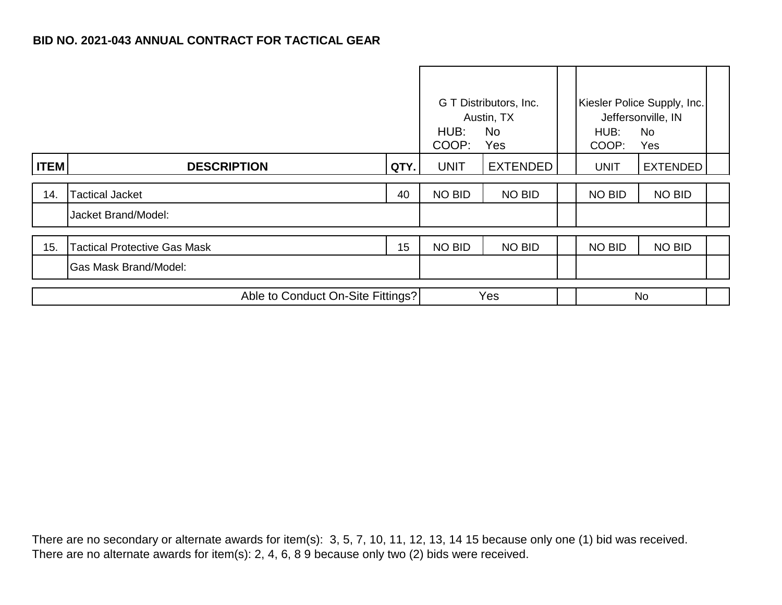|                                   |                                     |      | G T Distributors, Inc.<br>Austin, TX<br>HUB:<br>No.<br>COOP:<br>Yes |                 |  | HUB:<br>COOP: | Kiesler Police Supply, Inc.<br>Jeffersonville, IN<br><b>No</b><br>Yes |  |
|-----------------------------------|-------------------------------------|------|---------------------------------------------------------------------|-----------------|--|---------------|-----------------------------------------------------------------------|--|
| <b>ITEM</b>                       | <b>DESCRIPTION</b>                  | QTY. | <b>UNIT</b>                                                         | <b>EXTENDED</b> |  | <b>UNIT</b>   | <b>EXTENDED</b>                                                       |  |
| 14.                               | <b>Tactical Jacket</b>              | 40   | NO BID                                                              | <b>NO BID</b>   |  | <b>NO BID</b> | <b>NO BID</b>                                                         |  |
|                                   | Jacket Brand/Model:                 |      |                                                                     |                 |  |               |                                                                       |  |
| 15.                               | <b>Tactical Protective Gas Mask</b> | 15   | <b>NO BID</b>                                                       | <b>NO BID</b>   |  | <b>NO BID</b> | <b>NO BID</b>                                                         |  |
|                                   | <b>Gas Mask Brand/Model:</b>        |      |                                                                     |                 |  |               |                                                                       |  |
| Able to Conduct On-Site Fittings? |                                     |      | Yes                                                                 |                 |  | <b>No</b>     |                                                                       |  |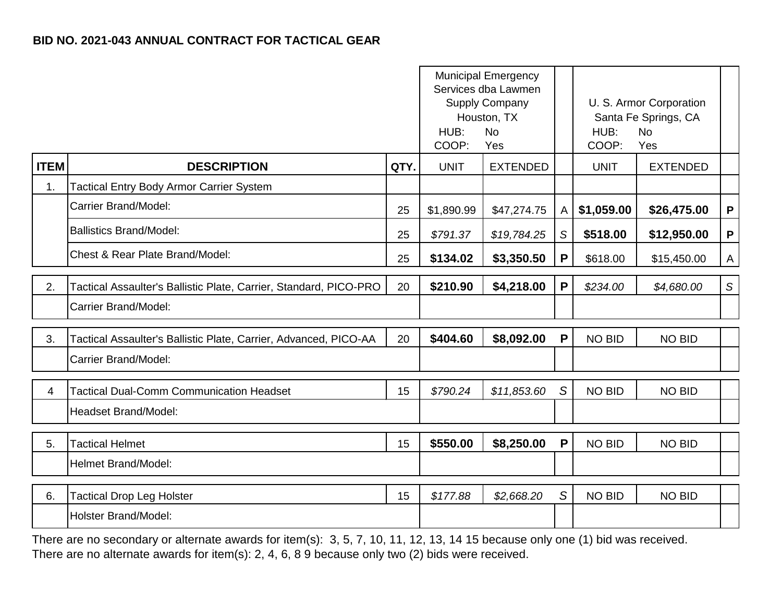|             |                                                                   |      | <b>Municipal Emergency</b><br>Services dba Lawmen<br>Supply Company<br>Houston, TX<br>HUB:<br><b>No</b><br>COOP:<br>Yes |                 |             | HUB:<br>COOP: | U. S. Armor Corporation<br>Santa Fe Springs, CA<br><b>No</b><br>Yes |              |
|-------------|-------------------------------------------------------------------|------|-------------------------------------------------------------------------------------------------------------------------|-----------------|-------------|---------------|---------------------------------------------------------------------|--------------|
| <b>ITEM</b> | <b>DESCRIPTION</b>                                                | QTY. | <b>UNIT</b>                                                                                                             | <b>EXTENDED</b> |             | <b>UNIT</b>   | <b>EXTENDED</b>                                                     |              |
| 1.          | <b>Tactical Entry Body Armor Carrier System</b>                   |      |                                                                                                                         |                 |             |               |                                                                     |              |
|             | Carrier Brand/Model:                                              | 25   | \$1,890.99                                                                                                              | \$47,274.75     | A           | \$1,059.00    | \$26,475.00                                                         | P            |
|             | <b>Ballistics Brand/Model:</b>                                    | 25   | \$791.37                                                                                                                | \$19,784.25     | S           | \$518.00      | \$12,950.00                                                         | P            |
|             | Chest & Rear Plate Brand/Model:                                   | 25   | \$134.02                                                                                                                | \$3,350.50      | P           | \$618.00      | \$15,450.00                                                         | $\mathsf{A}$ |
| 2.          | Tactical Assaulter's Ballistic Plate, Carrier, Standard, PICO-PRO | 20   | \$210.90                                                                                                                | \$4,218.00      | P           | \$234.00      | \$4,680.00                                                          | $\mathsf S$  |
|             | Carrier Brand/Model:                                              |      |                                                                                                                         |                 |             |               |                                                                     |              |
| 3.          | Tactical Assaulter's Ballistic Plate, Carrier, Advanced, PICO-AA  | 20   | \$404.60                                                                                                                | \$8,092.00      | P           | <b>NO BID</b> | <b>NO BID</b>                                                       |              |
|             | Carrier Brand/Model:                                              |      |                                                                                                                         |                 |             |               |                                                                     |              |
| 4           | <b>Tactical Dual-Comm Communication Headset</b>                   | 15   | \$790.24                                                                                                                | \$11,853.60     | S           | <b>NO BID</b> | <b>NO BID</b>                                                       |              |
|             | Headset Brand/Model:                                              |      |                                                                                                                         |                 |             |               |                                                                     |              |
| 5.          | <b>Tactical Helmet</b>                                            | 15   | \$550.00                                                                                                                | \$8,250.00      | $\mathsf P$ | <b>NO BID</b> | <b>NO BID</b>                                                       |              |
|             | Helmet Brand/Model:                                               |      |                                                                                                                         |                 |             |               |                                                                     |              |
| 6.          | <b>Tactical Drop Leg Holster</b>                                  | 15   | \$177.88                                                                                                                | \$2,668.20      | S           | <b>NO BID</b> | <b>NO BID</b>                                                       |              |
|             | Holster Brand/Model:                                              |      |                                                                                                                         |                 |             |               |                                                                     |              |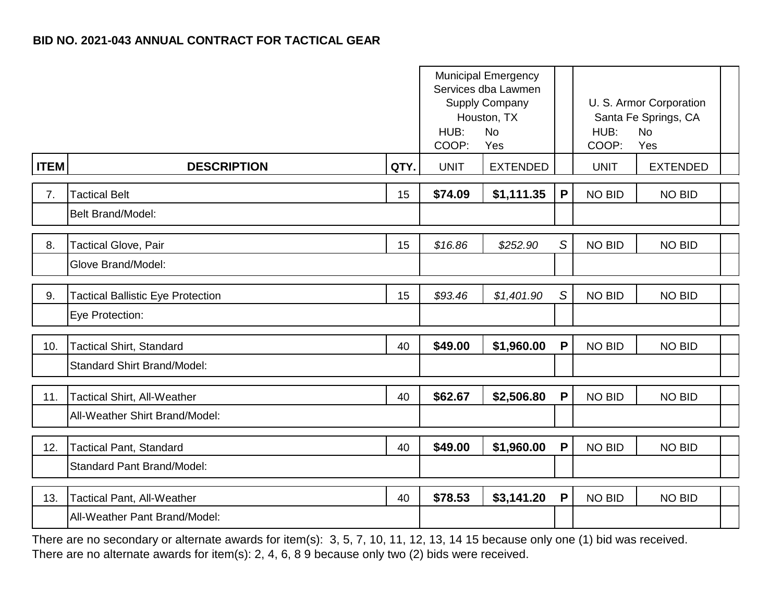|             |                                          |      | <b>Municipal Emergency</b><br>Services dba Lawmen<br>Supply Company<br>Houston, TX<br>HUB:<br><b>No</b><br>COOP:<br>Yes |                 |              | HUB:<br>COOP: | U. S. Armor Corporation<br>Santa Fe Springs, CA<br><b>No</b><br>Yes |  |
|-------------|------------------------------------------|------|-------------------------------------------------------------------------------------------------------------------------|-----------------|--------------|---------------|---------------------------------------------------------------------|--|
| <b>ITEM</b> | <b>DESCRIPTION</b>                       | QTY. | <b>UNIT</b>                                                                                                             | <b>EXTENDED</b> |              | <b>UNIT</b>   | <b>EXTENDED</b>                                                     |  |
| 7.          | <b>Tactical Belt</b>                     | 15   | \$74.09                                                                                                                 | \$1,111.35      | $\mathsf{P}$ | <b>NO BID</b> | <b>NO BID</b>                                                       |  |
|             | <b>Belt Brand/Model:</b>                 |      |                                                                                                                         |                 |              |               |                                                                     |  |
| 8.          | <b>Tactical Glove, Pair</b>              | 15   | \$16.86                                                                                                                 | \$252.90        | S            | <b>NO BID</b> | <b>NO BID</b>                                                       |  |
|             | Glove Brand/Model:                       |      |                                                                                                                         |                 |              |               |                                                                     |  |
| 9.          | <b>Tactical Ballistic Eye Protection</b> | 15   | \$93.46                                                                                                                 | \$1,401.90      | S            | <b>NO BID</b> | <b>NO BID</b>                                                       |  |
|             | Eye Protection:                          |      |                                                                                                                         |                 |              |               |                                                                     |  |
| 10.         | <b>Tactical Shirt, Standard</b>          | 40   | \$49.00                                                                                                                 | \$1,960.00      | $\mathsf{P}$ | <b>NO BID</b> | <b>NO BID</b>                                                       |  |
|             | <b>Standard Shirt Brand/Model:</b>       |      |                                                                                                                         |                 |              |               |                                                                     |  |
| 11.         | Tactical Shirt, All-Weather              | 40   | \$62.67                                                                                                                 | \$2,506.80      | $\mathsf{P}$ | <b>NO BID</b> | <b>NO BID</b>                                                       |  |
|             | All-Weather Shirt Brand/Model:           |      |                                                                                                                         |                 |              |               |                                                                     |  |
| 12.         | <b>Tactical Pant, Standard</b>           | 40   | \$49.00                                                                                                                 | \$1,960.00      | $\mathsf{P}$ | <b>NO BID</b> | <b>NO BID</b>                                                       |  |
|             | <b>Standard Pant Brand/Model:</b>        |      |                                                                                                                         |                 |              |               |                                                                     |  |
| 13.         | Tactical Pant, All-Weather               | 40   | \$78.53                                                                                                                 | \$3,141.20      | $\mathsf{P}$ | <b>NO BID</b> | <b>NO BID</b>                                                       |  |
|             | All-Weather Pant Brand/Model:            |      |                                                                                                                         |                 |              |               |                                                                     |  |